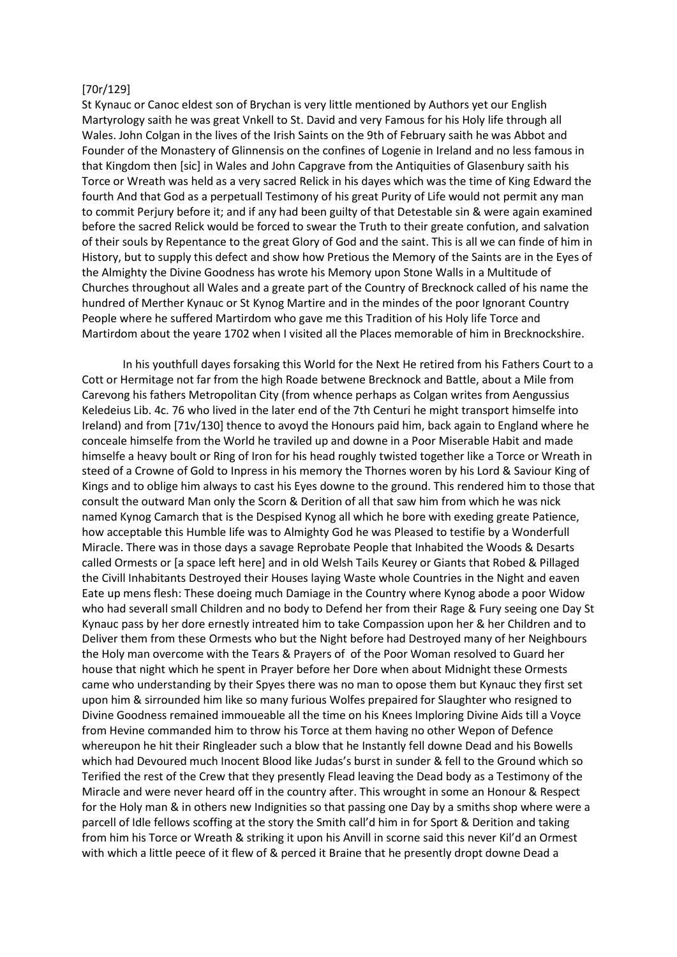## [70r/129]

St Kynauc or Canoc eldest son of Brychan is very little mentioned by Authors yet our English Martyrology saith he was great Vnkell to St. David and very Famous for his Holy life through all Wales. John Colgan in the lives of the Irish Saints on the 9th of February saith he was Abbot and Founder of the Monastery of Glinnensis on the confines of Logenie in Ireland and no less famous in that Kingdom then [sic] in Wales and John Capgrave from the Antiquities of Glasenbury saith his Torce or Wreath was held as a very sacred Relick in his dayes which was the time of King Edward the fourth And that God as a perpetuall Testimony of his great Purity of Life would not permit any man to commit Perjury before it; and if any had been guilty of that Detestable sin & were again examined before the sacred Relick would be forced to swear the Truth to their greate confution, and salvation of their souls by Repentance to the great Glory of God and the saint. This is all we can finde of him in History, but to supply this defect and show how Pretious the Memory of the Saints are in the Eyes of the Almighty the Divine Goodness has wrote his Memory upon Stone Walls in a Multitude of Churches throughout all Wales and a greate part of the Country of Brecknock called of his name the hundred of Merther Kynauc or St Kynog Martire and in the mindes of the poor Ignorant Country People where he suffered Martirdom who gave me this Tradition of his Holy life Torce and Martirdom about the yeare 1702 when I visited all the Places memorable of him in Brecknockshire.

In his youthfull dayes forsaking this World for the Next He retired from his Fathers Court to a Cott or Hermitage not far from the high Roade betwene Brecknock and Battle, about a Mile from Carevong his fathers Metropolitan City (from whence perhaps as Colgan writes from Aengussius Keledeius Lib. 4c. 76 who lived in the later end of the 7th Centuri he might transport himselfe into Ireland) and from [71v/130] thence to avoyd the Honours paid him, back again to England where he conceale himselfe from the World he traviled up and downe in a Poor Miserable Habit and made himselfe a heavy boult or Ring of Iron for his head roughly twisted together like a Torce or Wreath in steed of a Crowne of Gold to Inpress in his memory the Thornes woren by his Lord & Saviour King of Kings and to oblige him always to cast his Eyes downe to the ground. This rendered him to those that consult the outward Man only the Scorn & Derition of all that saw him from which he was nick named Kynog Camarch that is the Despised Kynog all which he bore with exeding greate Patience, how acceptable this Humble life was to Almighty God he was Pleased to testifie by a Wonderfull Miracle. There was in those days a savage Reprobate People that Inhabited the Woods & Desarts called Ormests or [a space left here] and in old Welsh Tails Keurey or Giants that Robed & Pillaged the Civill Inhabitants Destroyed their Houses laying Waste whole Countries in the Night and eaven Eate up mens flesh: These doeing much Damiage in the Country where Kynog abode a poor Widow who had severall small Children and no body to Defend her from their Rage & Fury seeing one Day St Kynauc pass by her dore ernestly intreated him to take Compassion upon her & her Children and to Deliver them from these Ormests who but the Night before had Destroyed many of her Neighbours the Holy man overcome with the Tears & Prayers of of the Poor Woman resolved to Guard her house that night which he spent in Prayer before her Dore when about Midnight these Ormests came who understanding by their Spyes there was no man to opose them but Kynauc they first set upon him & sirrounded him like so many furious Wolfes prepaired for Slaughter who resigned to Divine Goodness remained immoueable all the time on his Knees Imploring Divine Aids till a Voyce from Hevine commanded him to throw his Torce at them having no other Wepon of Defence whereupon he hit their Ringleader such a blow that he Instantly fell downe Dead and his Bowells which had Devoured much Inocent Blood like Judas's burst in sunder & fell to the Ground which so Terified the rest of the Crew that they presently Flead leaving the Dead body as a Testimony of the Miracle and were never heard off in the country after. This wrought in some an Honour & Respect for the Holy man & in others new Indignities so that passing one Day by a smiths shop where were a parcell of Idle fellows scoffing at the story the Smith call'd him in for Sport & Derition and taking from him his Torce or Wreath & striking it upon his Anvill in scorne said this never Kil'd an Ormest with which a little peece of it flew of & perced it Braine that he presently dropt downe Dead a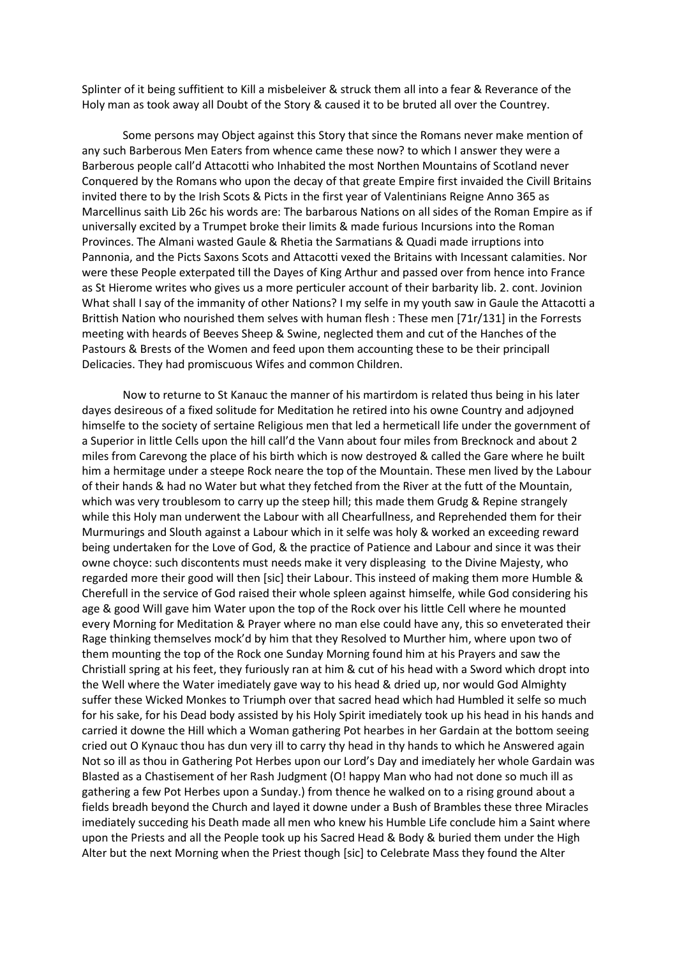Splinter of it being suffitient to Kill a misbeleiver & struck them all into a fear & Reverance of the Holy man as took away all Doubt of the Story & caused it to be bruted all over the Countrey.

Some persons may Object against this Story that since the Romans never make mention of any such Barberous Men Eaters from whence came these now? to which I answer they were a Barberous people call'd Attacotti who Inhabited the most Northen Mountains of Scotland never Conquered by the Romans who upon the decay of that greate Empire first invaided the Civill Britains invited there to by the Irish Scots & Picts in the first year of Valentinians Reigne Anno 365 as Marcellinus saith Lib 26c his words are: The barbarous Nations on all sides of the Roman Empire as if universally excited by a Trumpet broke their limits & made furious Incursions into the Roman Provinces. The Almani wasted Gaule & Rhetia the Sarmatians & Quadi made irruptions into Pannonia, and the Picts Saxons Scots and Attacotti vexed the Britains with Incessant calamities. Nor were these People exterpated till the Dayes of King Arthur and passed over from hence into France as St Hierome writes who gives us a more perticuler account of their barbarity lib. 2. cont. Jovinion What shall I say of the immanity of other Nations? I my selfe in my youth saw in Gaule the Attacotti a Brittish Nation who nourished them selves with human flesh : These men [71r/131] in the Forrests meeting with heards of Beeves Sheep & Swine, neglected them and cut of the Hanches of the Pastours & Brests of the Women and feed upon them accounting these to be their principall Delicacies. They had promiscuous Wifes and common Children.

Now to returne to St Kanauc the manner of his martirdom is related thus being in his later dayes desireous of a fixed solitude for Meditation he retired into his owne Country and adjoyned himselfe to the society of sertaine Religious men that led a hermeticall life under the government of a Superior in little Cells upon the hill call'd the Vann about four miles from Brecknock and about 2 miles from Carevong the place of his birth which is now destroyed & called the Gare where he built him a hermitage under a steepe Rock neare the top of the Mountain. These men lived by the Labour of their hands & had no Water but what they fetched from the River at the futt of the Mountain, which was very troublesom to carry up the steep hill; this made them Grudg & Repine strangely while this Holy man underwent the Labour with all Chearfullness, and Reprehended them for their Murmurings and Slouth against a Labour which in it selfe was holy & worked an exceeding reward being undertaken for the Love of God, & the practice of Patience and Labour and since it was their owne choyce: such discontents must needs make it very displeasing to the Divine Majesty, who regarded more their good will then [sic] their Labour. This insteed of making them more Humble & Cherefull in the service of God raised their whole spleen against himselfe, while God considering his age & good Will gave him Water upon the top of the Rock over his little Cell where he mounted every Morning for Meditation & Prayer where no man else could have any, this so enveterated their Rage thinking themselves mock'd by him that they Resolved to Murther him, where upon two of them mounting the top of the Rock one Sunday Morning found him at his Prayers and saw the Christiall spring at his feet, they furiously ran at him & cut of his head with a Sword which dropt into the Well where the Water imediately gave way to his head & dried up, nor would God Almighty suffer these Wicked Monkes to Triumph over that sacred head which had Humbled it selfe so much for his sake, for his Dead body assisted by his Holy Spirit imediately took up his head in his hands and carried it downe the Hill which a Woman gathering Pot hearbes in her Gardain at the bottom seeing cried out O Kynauc thou has dun very ill to carry thy head in thy hands to which he Answered again Not so ill as thou in Gathering Pot Herbes upon our Lord's Day and imediately her whole Gardain was Blasted as a Chastisement of her Rash Judgment (O! happy Man who had not done so much ill as gathering a few Pot Herbes upon a Sunday.) from thence he walked on to a rising ground about a fields breadh beyond the Church and layed it downe under a Bush of Brambles these three Miracles imediately succeding his Death made all men who knew his Humble Life conclude him a Saint where upon the Priests and all the People took up his Sacred Head & Body & buried them under the High Alter but the next Morning when the Priest though [sic] to Celebrate Mass they found the Alter